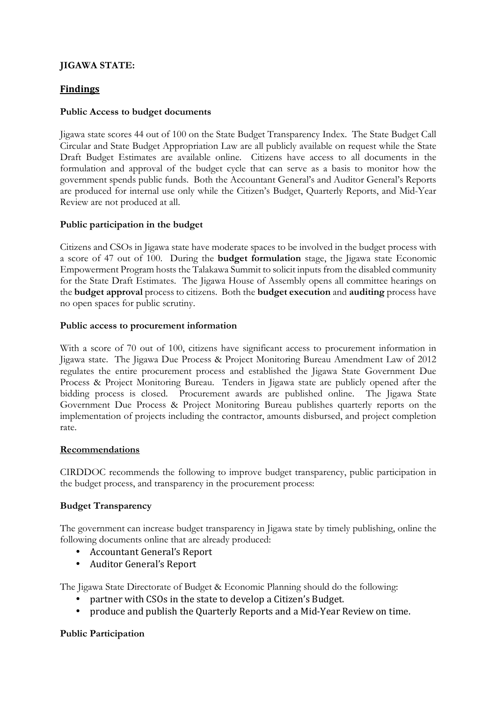# **JIGAWA STATE:**

## **Findings**

### **Public Access to budget documents**

Jigawa state scores 44 out of 100 on the State Budget Transparency Index. The State Budget Call Circular and State Budget Appropriation Law are all publicly available on request while the State Draft Budget Estimates are available online. Citizens have access to all documents in the formulation and approval of the budget cycle that can serve as a basis to monitor how the government spends public funds. Both the Accountant General's and Auditor General's Reports are produced for internal use only while the Citizen's Budget, Quarterly Reports, and Mid-Year Review are not produced at all.

## **Public participation in the budget**

Citizens and CSOs in Jigawa state have moderate spaces to be involved in the budget process with a score of 47 out of 100. During the **budget formulation** stage, the Jigawa state Economic Empowerment Program hosts the Talakawa Summit to solicit inputs from the disabled community for the State Draft Estimates. The Jigawa House of Assembly opens all committee hearings on the **budget approval** process to citizens. Both the **budget execution** and **auditing** process have no open spaces for public scrutiny.

#### **Public access to procurement information**

With a score of 70 out of 100, citizens have significant access to procurement information in Jigawa state. The Jigawa Due Process & Project Monitoring Bureau Amendment Law of 2012 regulates the entire procurement process and established the Jigawa State Government Due Process & Project Monitoring Bureau. Tenders in Jigawa state are publicly opened after the bidding process is closed. Procurement awards are published online. The Jigawa State Government Due Process & Project Monitoring Bureau publishes quarterly reports on the implementation of projects including the contractor, amounts disbursed, and project completion rate.

#### **Recommendations**

CIRDDOC recommends the following to improve budget transparency, public participation in the budget process, and transparency in the procurement process:

#### **Budget Transparency**

The government can increase budget transparency in Jigawa state by timely publishing, online the following documents online that are already produced:

- Accountant General's Report
- Auditor General's Report

The Jigawa State Directorate of Budget & Economic Planning should do the following:

- partner with CSOs in the state to develop a Citizen's Budget.
- produce and publish the Quarterly Reports and a Mid-Year Review on time.

#### **Public Participation**